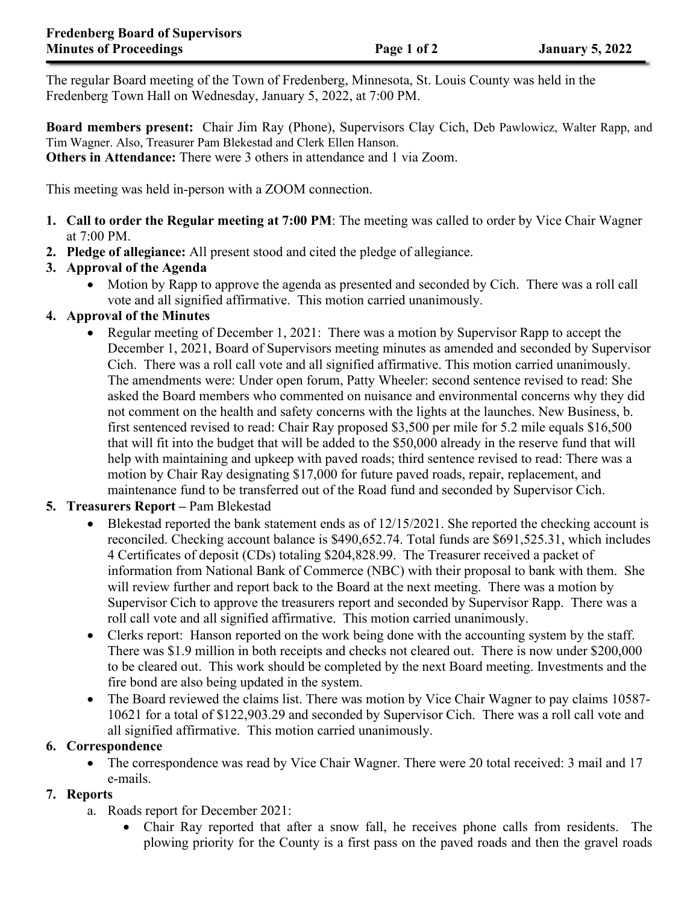The regular Board meeting of the Town of Fredenberg, Minnesota, St. Louis County was held in the Fredenberg Town Hall on Wednesday, January 5, 2022, at 7:00 PM.

**Board members present:** Chair Jim Ray (Phone), Supervisors Clay Cich, Deb Pawlowicz, Walter Rapp, and Tim Wagner. Also, Treasurer Pam Blekestad and Clerk Ellen Hanson. **Others in Attendance:** There were 3 others in attendance and 1 via Zoom.

This meeting was held in-person with a ZOOM connection.

- **1. Call to order the Regular meeting at 7:00 PM**: The meeting was called to order by Vice Chair Wagner at 7:00 PM.
- **2. Pledge of allegiance:** All present stood and cited the pledge of allegiance.

# **3. Approval of the Agenda**

• Motion by Rapp to approve the agenda as presented and seconded by Cich. There was a roll call vote and all signified affirmative. This motion carried unanimously.

## **4. Approval of the Minutes**

• Regular meeting of December 1, 2021: There was a motion by Supervisor Rapp to accept the December 1, 2021, Board of Supervisors meeting minutes as amended and seconded by Supervisor Cich. There was a roll call vote and all signified affirmative. This motion carried unanimously. The amendments were: Under open forum, Patty Wheeler: second sentence revised to read: She asked the Board members who commented on nuisance and environmental concerns why they did not comment on the health and safety concerns with the lights at the launches. New Business, b. first sentenced revised to read: Chair Ray proposed \$3,500 per mile for 5.2 mile equals \$16,500 that will fit into the budget that will be added to the \$50,000 already in the reserve fund that will help with maintaining and upkeep with paved roads; third sentence revised to read: There was a motion by Chair Ray designating \$17,000 for future paved roads, repair, replacement, and maintenance fund to be transferred out of the Road fund and seconded by Supervisor Cich.

# **5. Treasurers Report –** Pam Blekestad

- Blekestad reported the bank statement ends as of 12/15/2021. She reported the checking account is reconciled. Checking account balance is \$490,652.74. Total funds are \$691,525.31, which includes 4 Certificates of deposit (CDs) totaling \$204,828.99. The Treasurer received a packet of information from National Bank of Commerce (NBC) with their proposal to bank with them. She will review further and report back to the Board at the next meeting. There was a motion by Supervisor Cich to approve the treasurers report and seconded by Supervisor Rapp. There was a roll call vote and all signified affirmative. This motion carried unanimously.
- Clerks report: Hanson reported on the work being done with the accounting system by the staff. There was \$1.9 million in both receipts and checks not cleared out. There is now under \$200,000 to be cleared out. This work should be completed by the next Board meeting. Investments and the fire bond are also being updated in the system.
- The Board reviewed the claims list. There was motion by Vice Chair Wagner to pay claims 10587-10621 for a total of \$122,903.29 and seconded by Supervisor Cich. There was a roll call vote and all signified affirmative. This motion carried unanimously.

### **6. Correspondence**

• The correspondence was read by Vice Chair Wagner. There were 20 total received: 3 mail and 17 e-mails.

### **7. Reports**

- a. Roads report for December 2021:
	- Chair Ray reported that after a snow fall, he receives phone calls from residents. The plowing priority for the County is a first pass on the paved roads and then the gravel roads